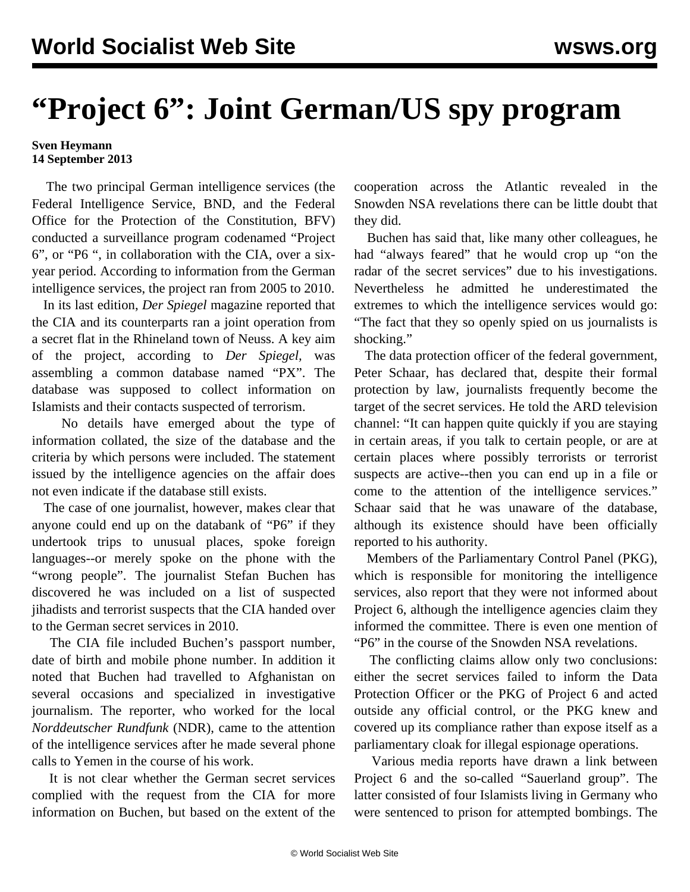## **"Project 6": Joint German/US spy program**

## **Sven Heymann 14 September 2013**

 The two principal German intelligence services (the Federal Intelligence Service, BND, and the Federal Office for the Protection of the Constitution, BFV) conducted a surveillance program codenamed "Project 6", or "P6 ", in collaboration with the CIA, over a sixyear period. According to information from the German intelligence services, the project ran from 2005 to 2010.

 In its last edition, *Der Spiegel* magazine reported that the CIA and its counterparts ran a joint operation from a secret flat in the Rhineland town of Neuss. A key aim of the project, according to *Der Spiegel,* was assembling a common database named "PX". The database was supposed to collect information on Islamists and their contacts suspected of terrorism.

 No details have emerged about the type of information collated, the size of the database and the criteria by which persons were included. The statement issued by the intelligence agencies on the affair does not even indicate if the database still exists.

 The case of one journalist, however, makes clear that anyone could end up on the databank of "P6" if they undertook trips to unusual places, spoke foreign languages--or merely spoke on the phone with the "wrong people". The journalist Stefan Buchen has discovered he was included on a list of suspected jihadists and terrorist suspects that the CIA handed over to the German secret services in 2010.

 The CIA file included Buchen's passport number, date of birth and mobile phone number. In addition it noted that Buchen had travelled to Afghanistan on several occasions and specialized in investigative journalism. The reporter, who worked for the local *Norddeutscher Rundfunk* (NDR), came to the attention of the intelligence services after he made several phone calls to Yemen in the course of his work.

 It is not clear whether the German secret services complied with the request from the CIA for more information on Buchen, but based on the extent of the cooperation across the Atlantic revealed in the Snowden NSA revelations there can be little doubt that they did.

 Buchen has said that, like many other colleagues, he had "always feared" that he would crop up "on the radar of the secret services" due to his investigations. Nevertheless he admitted he underestimated the extremes to which the intelligence services would go: "The fact that they so openly spied on us journalists is shocking."

 The data protection officer of the federal government, Peter Schaar, has declared that, despite their formal protection by law, journalists frequently become the target of the secret services. He told the ARD television channel: "It can happen quite quickly if you are staying in certain areas, if you talk to certain people, or are at certain places where possibly terrorists or terrorist suspects are active--then you can end up in a file or come to the attention of the intelligence services." Schaar said that he was unaware of the database, although its existence should have been officially reported to his authority.

 Members of the Parliamentary Control Panel (PKG), which is responsible for monitoring the intelligence services, also report that they were not informed about Project 6, although the intelligence agencies claim they informed the committee. There is even one mention of "P6" in the course of the Snowden NSA revelations.

 The conflicting claims allow only two conclusions: either the secret services failed to inform the Data Protection Officer or the PKG of Project 6 and acted outside any official control, or the PKG knew and covered up its compliance rather than expose itself as a parliamentary cloak for illegal espionage operations.

 Various media reports have drawn a link between Project 6 and the so-called "Sauerland group". The latter consisted of four Islamists living in Germany who were sentenced to prison for attempted bombings. The